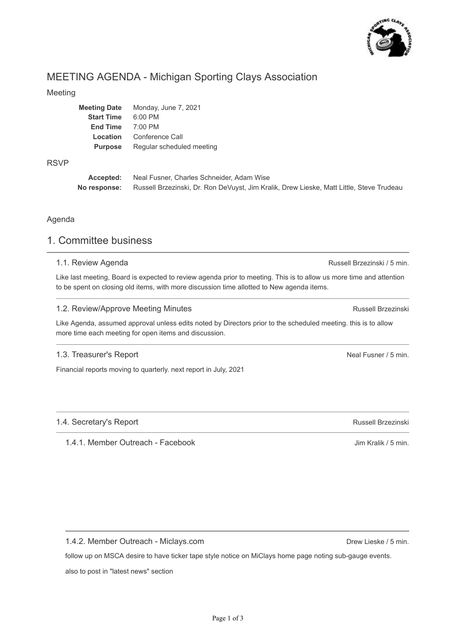

# MEETING AGENDA - Michigan Sporting Clays Association

### Meeting

| <b>Meeting Date</b> | Monday, June 7, 2021      |
|---------------------|---------------------------|
| <b>Start Time</b>   | $6:00$ PM                 |
| <b>End Time</b>     | $7:00$ PM                 |
| Location            | Conference Call           |
| <b>Purpose</b>      | Regular scheduled meeting |
|                     |                           |

### RSVP

**Accepted: No response:** Neal Fusner, Charles Schneider, Adam Wise Russell Brzezinski, Dr. Ron DeVuyst, Jim Kralik, Drew Lieske, Matt Little, Steve Trudeau

### Agenda

## 1. Committee business

## 1.1. Review Agenda

Like last meeting, Board is expected to review agenda prior to meeting. This is to allow us more time and attention to be spent on closing old items, with more discussion time allotted to New agenda items.

### 1.2. Review/Approve Meeting Minutes

Like Agenda, assumed approval unless edits noted by Directors prior to the scheduled meeting. this is to allow more time each meeting for open items and discussion.

### 1.3. Treasurer's Report

Financial reports moving to quarterly. next report in July, 2021

## 1.4. Secretary's Report

1.4.1. Member Outreach - Facebook

1.4.2. Member Outreach - Miclays.com

follow up on MSCA desire to have ticker tape style notice on MiClays home page noting sub-gauge events.

also to post in "latest news" section

Russell Brzezinski / 5 min.

Russell Brzezinski

Neal Fusner / 5 min.

Russell Brzezinski

Jim Kralik / 5 min.

Drew Lieske / 5 min.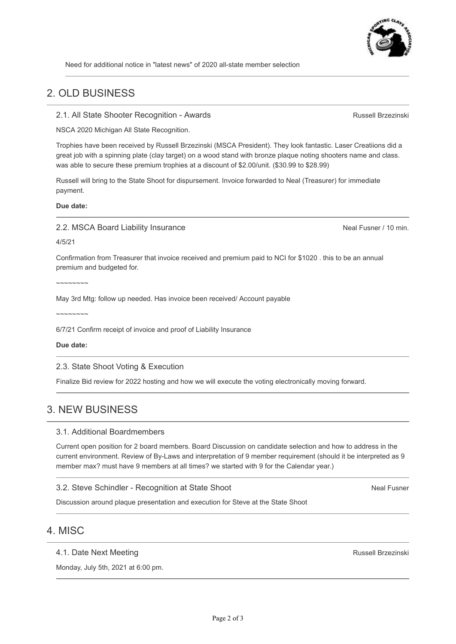

Russell Brzezinski

Need for additional notice in "latest news" of 2020 all-state member selection

## 2. OLD BUSINESS

2.1. All State Shooter Recognition - Awards

NSCA 2020 Michigan All State Recognition.

Trophies have been received by Russell Brzezinski (MSCA President). They look fantastic. Laser Creatiions did a great job with a spinning plate (clay target) on a wood stand with bronze plaque noting shooters name and class. was able to secure these premium trophies at a discount of \$2.00/unit. (\$30.99 to \$28.99)

Russell will bring to the State Shoot for dispursement. Invoice forwarded to Neal (Treasurer) for immediate payment.

**Due date:**

2.2. MSCA Board Liability Insurance

Neal Fusner / 10 min.

4/5/21

Confirmation from Treasurer that invoice received and premium paid to NCI for \$1020 . this to be an annual premium and budgeted for.

 $\sim$ ~~~~~~

May 3rd Mtg: follow up needed. Has invoice been received/ Account payable

 $\sim$ ~~~~~~

6/7/21 Confirm receipt of invoice and proof of Liability Insurance

**Due date:**

2.3. State Shoot Voting & Execution

Finalize Bid review for 2022 hosting and how we will execute the voting electronically moving forward.

## 3. NEW BUSINESS

### 3.1. Additional Boardmembers

Current open position for 2 board members. Board Discussion on candidate selection and how to address in the current environment. Review of By-Laws and interpretation of 9 member requirement (should it be interpreted as 9 member max? must have 9 members at all times? we started with 9 for the Calendar year.)

3.2. Steve Schindler - Recognition at State Shoot

Neal Fusner

Discussion around plaque presentation and execution for Steve at the State Shoot

## 4. MISC

#### 4.1. Date Next Meeting

Monday, July 5th, 2021 at 6:00 pm.

Russell Brzezinski